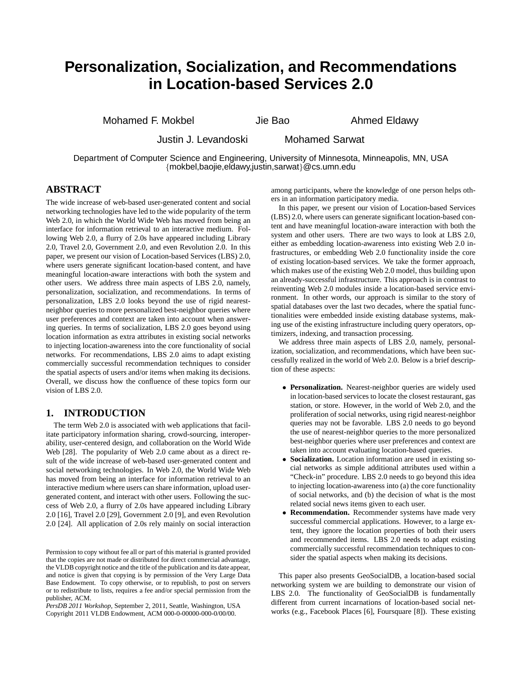# **Personalization, Socialization, and Recommendations in Location-based Services 2.0**

Mohamed F. Mokbel **Jie Bao** Ahmed Eldawy

Justin J. Levandoski Mohamed Sarwat

Department of Computer Science and Engineering, University of Minnesota, Minneapolis, MN, USA {mokbel,baojie,eldawy,justin,sarwat}@cs.umn.edu

## **ABSTRACT**

The wide increase of web-based user-generated content and social networking technologies have led to the wide popularity of the term Web 2.0, in which the World Wide Web has moved from being an interface for information retrieval to an interactive medium. Following Web 2.0, a flurry of 2.0s have appeared including Library 2.0, Travel 2.0, Government 2.0, and even Revolution 2.0. In this paper, we present our vision of Location-based Services (LBS) 2.0, where users generate significant location-based content, and have meaningful location-aware interactions with both the system and other users. We address three main aspects of LBS 2.0, namely, personalization, socialization, and recommendations. In terms of personalization, LBS 2.0 looks beyond the use of rigid nearestneighbor queries to more personalized best-neighbor queries where user preferences and context are taken into account when answering queries. In terms of socialization, LBS 2.0 goes beyond using location information as extra attributes in existing social networks to injecting location-awareness into the core functionality of social networks. For recommendations, LBS 2.0 aims to adapt existing commercially successful recommendation techniques to consider the spatial aspects of users and/or items when making its decisions. Overall, we discuss how the confluence of these topics form our vision of LBS 2.0.

## **1. INTRODUCTION**

The term Web 2.0 is associated with web applications that facilitate participatory information sharing, crowd-sourcing, interoperability, user-centered design, and collaboration on the World Wide Web [28]. The popularity of Web 2.0 came about as a direct result of the wide increase of web-based user-generated content and social networking technologies. In Web 2.0, the World Wide Web has moved from being an interface for information retrieval to an interactive medium where users can share information, upload usergenerated content, and interact with other users. Following the success of Web 2.0, a flurry of 2.0s have appeared including Library 2.0 [16], Travel 2.0 [29], Government 2.0 [9], and even Revolution 2.0 [24]. All application of 2.0s rely mainly on social interaction

*PersDB 2011 Workshop,* September 2, 2011, Seattle, Washington, USA Copyright 2011 VLDB Endowment, ACM 000-0-00000-000-0/00/00.

among participants, where the knowledge of one person helps others in an information participatory media.

In this paper, we present our vision of Location-based Services (LBS) 2.0, where users can generate significant location-based content and have meaningful location-aware interaction with both the system and other users. There are two ways to look at LBS 2.0, either as embedding location-awareness into existing Web 2.0 infrastructures, or embedding Web 2.0 functionality inside the core of existing location-based services. We take the former approach, which makes use of the existing Web 2.0 model, thus building upon an already-successful infrastructure. This approach is in contrast to reinventing Web 2.0 modules inside a location-based service environment. In other words, our approach is similar to the story of spatial databases over the last two decades, where the spatial functionalities were embedded inside existing database systems, making use of the existing infrastructure including query operators, optimizers, indexing, and transaction processing.

We address three main aspects of LBS 2.0, namely, personalization, socialization, and recommendations, which have been successfully realized in the world of Web 2.0. Below is a brief description of these aspects:

- **Personalization.** Nearest-neighbor queries are widely used in location-based services to locate the closest restaurant, gas station, or store. However, in the world of Web 2.0, and the proliferation of social networks, using rigid nearest-neighbor queries may not be favorable. LBS 2.0 needs to go beyond the use of nearest-neighbor queries to the more personalized best-neighbor queries where user preferences and context are taken into account evaluating location-based queries.
- **Socialization.** Location information are used in existing social networks as simple additional attributes used within a "Check-in" procedure. LBS 2.0 needs to go beyond this idea to injecting location-awareness into (a) the core functionality of social networks, and (b) the decision of what is the most related social news items given to each user.
- **Recommendation.** Recommender systems have made very successful commercial applications. However, to a large extent, they ignore the location properties of both their users and recommended items. LBS 2.0 needs to adapt existing commercially successful recommendation techniques to consider the spatial aspects when making its decisions.

This paper also presents GeoSocialDB, a location-based social networking system we are building to demonstrate our vision of LBS 2.0. The functionality of GeoSocialDB is fundamentally different from current incarnations of location-based social networks (e.g., Facebook Places [6], Foursquare [8]). These existing

Permission to copy without fee all or part of this material is granted provided that the copies are not made or distributed for direct commercial advantage, the VLDB copyright notice and the title of the publication and its date appear, and notice is given that copying is by permission of the Very Large Data Base Endowment. To copy otherwise, or to republish, to post on servers or to redistribute to lists, requires a fee and/or special permission from the publisher, ACM.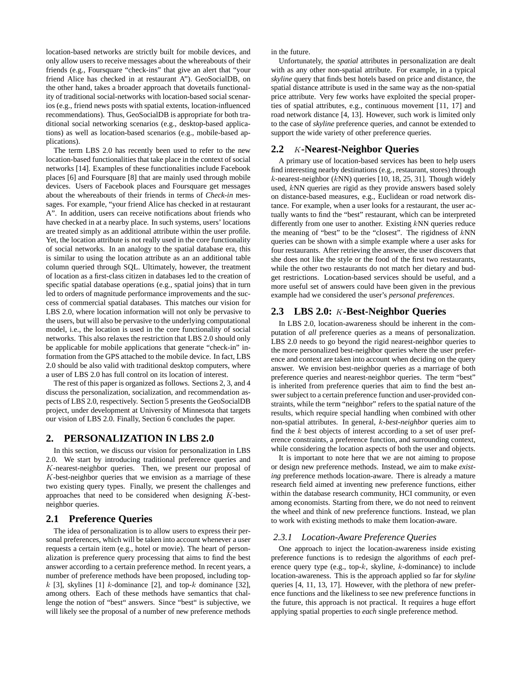location-based networks are strictly built for mobile devices, and only allow users to receive messages about the whereabouts of their friends (e.g., Foursquare "check-ins" that give an alert that "your friend Alice has checked in at restaurant A"). GeoSocialDB, on the other hand, takes a broader approach that dovetails functionality of traditional social-networks with location-based social scenarios (e.g., friend news posts with spatial extents, location-influenced recommendations). Thus, GeoSocialDB is appropriate for both traditional social networking scenarios (e.g., desktop-based applications) as well as location-based scenarios (e.g., mobile-based applications).

The term LBS 2.0 has recently been used to refer to the new location-based functionalities that take place in the context of social networks [14]. Examples of these functionalities include Facebook places [6] and Foursquare [8] that are mainly used through mobile devices. Users of Facebook places and Foursquare get messages about the whereabouts of their friends in terms of *Check-in* messages. For example, "your friend Alice has checked in at restaurant A". In addition, users can receive notifications about friends who have checked in at a nearby place. In such systems, users' locations are treated simply as an additional attribute within the user profile. Yet, the location attribute is not really used in the core functionality of social networks. In an analogy to the spatial database era, this is similar to using the location attribute as an an additional table column queried through SQL. Ultimately, however, the treatment of location as a first-class citizen in databases led to the creation of specific spatial database operations (e.g., spatial joins) that in turn led to orders of magnitude performance improvements and the success of commercial spatial databases. This matches our vision for LBS 2.0, where location information will not only be pervasive to the users, but will also be pervasive to the underlying computational model, i.e., the location is used in the core functionality of social networks. This also relaxes the restriction that LBS 2.0 should only be applicable for mobile applications that generate "check-in" information from the GPS attached to the mobile device. In fact, LBS 2.0 should be also valid with traditional desktop computers, where a user of LBS 2.0 has full control on its location of interest.

The rest of this paper is organized as follows. Sections 2, 3, and 4 discuss the personalization, socialization, and recommendation aspects of LBS 2.0, respectively. Section 5 presents the GeoSocialDB project, under development at University of Minnesota that targets our vision of LBS 2.0. Finally, Section 6 concludes the paper.

## **2. PERSONALIZATION IN LBS 2.0**

In this section, we discuss our vision for personalization in LBS 2.0. We start by introducing traditional preference queries and K-nearest-neighbor queries. Then, we present our proposal of  $K$ -best-neighbor queries that we envision as a marriage of these two existing query types. Finally, we present the challenges and approaches that need to be considered when designing K-bestneighbor queries.

## **2.1 Preference Queries**

The idea of personalization is to allow users to express their personal preferences, which will be taken into account whenever a user requests a certain item (e.g., hotel or movie). The heart of personalization is preference query processing that aims to find the best answer according to a certain preference method. In recent years, a number of preference methods have been proposed, including topk [3], skylines [1] k-dominance [2], and top-k dominance [32], among others. Each of these methods have semantics that challenge the notion of "best" answers. Since "best" is subjective, we will likely see the proposal of a number of new preference methods

in the future.

Unfortunately, the *spatial* attributes in personalization are dealt with as any other non-spatial attribute. For example, in a typical *skyline* query that finds best hotels based on price and distance, the spatial distance attribute is used in the same way as the non-spatial price attribute. Very few works have exploited the special properties of spatial attributes, e.g., continuous movement [11, 17] and road network distance [4, 13]. However, such work is limited only to the case of *skyline* preference queries, and cannot be extended to support the wide variety of other preference queries.

## **2.2** K**-Nearest-Neighbor Queries**

A primary use of location-based services has been to help users find interesting nearby destinations (e.g., restaurant, stores) through  $k$ -nearest-neighbor ( $kNN$ ) queries [10, 18, 25, 31]. Though widely used, kNN queries are rigid as they provide answers based solely on distance-based measures, e.g., Euclidean or road network distance. For example, when a user looks for a restaurant, the user actually wants to find the "best" restaurant, which can be interpreted differently from one user to another. Existing kNN queries reduce the meaning of "best" to be the "closest". The rigidness of  $kNN$ queries can be shown with a simple example where a user asks for four restaurants. After retrieving the answer, the user discovers that she does not like the style or the food of the first two restaurants, while the other two restaurants do not match her dietary and budget restrictions. Location-based services should be useful, and a more useful set of answers could have been given in the previous example had we considered the user's *personal preferences*.

## **2.3 LBS 2.0:** K**-Best-Neighbor Queries**

In LBS 2.0, location-awareness should be inherent in the computation of *all* preference queries as a means of personalization. LBS 2.0 needs to go beyond the rigid nearest-neighbor queries to the more personalized best-neighbor queries where the user preference and context are taken into account when deciding on the query answer. We envision best-neighbor queries as a marriage of both preference queries and nearest-neighbor queries. The term "best" is inherited from preference queries that aim to find the best answer subject to a certain preference function and user-provided constraints, while the term "neighbor" refers to the spatial nature of the results, which require special handling when combined with other non-spatial attributes. In general, k*-best-neighbor* queries aim to find the k best objects of interest according to a set of user preference constraints, a preference function, and surrounding context, while considering the location aspects of both the user and objects.

It is important to note here that we are not aiming to propose or design new preference methods. Instead, we aim to make *existing* preference methods location-aware. There is already a mature research field aimed at inventing new preference functions, either within the database research community, HCI community, or even among economists. Starting from there, we do not need to reinvent the wheel and think of new preference functions. Instead, we plan to work with existing methods to make them location-aware.

#### *2.3.1 Location-Aware Preference Queries*

One approach to inject the location-awareness inside existing preference functions is to redesign the algorithms of *each* preference query type (e.g., top- $k$ , skyline,  $k$ -dominance) to include location-awareness. This is the approach applied so far for *skyline* queries [4, 11, 13, 17]. However, with the plethora of new preference functions and the likeliness to see new preference functions in the future, this approach is not practical. It requires a huge effort applying spatial properties to *each* single preference method.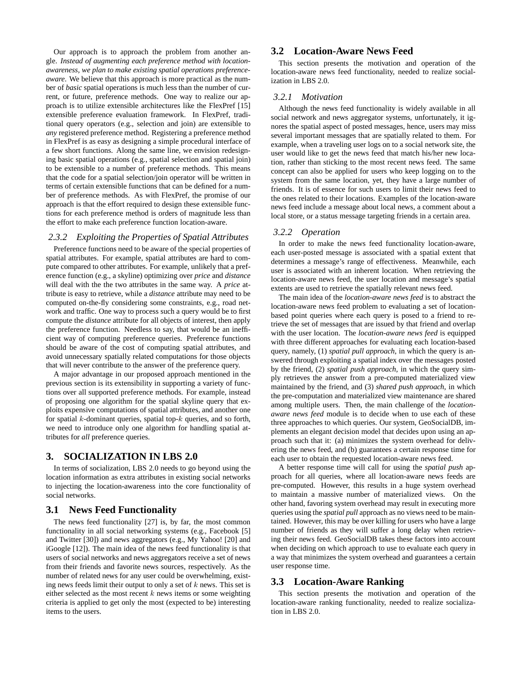Our approach is to approach the problem from another angle. *Instead of augmenting each preference method with locationawareness, we plan to make existing spatial operations preferenceaware*. We believe that this approach is more practical as the number of *basic* spatial operations is much less than the number of current, or future, preference methods. One way to realize our approach is to utilize extensible architectures like the FlexPref [15] extensible preference evaluation framework. In FlexPref, traditional query operators (e.g., selection and join) are extensible to *any* registered preference method. Registering a preference method in FlexPref is as easy as designing a simple procedural interface of a few short functions. Along the same line, we envision redesigning basic spatial operations (e.g., spatial selection and spatial join) to be extensible to a number of preference methods. This means that the code for a spatial selection/join operator will be written in terms of certain extensible functions that can be defined for a number of preference methods. As with FlexPref, the promise of our approach is that the effort required to design these extensible functions for each preference method is orders of magnitude less than the effort to make each preference function location-aware.

#### *2.3.2 Exploiting the Properties of Spatial Attributes*

Preference functions need to be aware of the special properties of spatial attributes. For example, spatial attributes are hard to compute compared to other attributes. For example, unlikely that a preference function (e.g., a skyline) optimizing over *price* and *distance* will deal with the the two attributes in the same way. A *price* attribute is easy to retrieve, while a *distance* attribute may need to be computed on-the-fly considering some constraints, e.g., road network and traffic. One way to process such a query would be to first compute the *distance* attribute for all objects of interest, then apply the preference function. Needless to say, that would be an inefficient way of computing preference queries. Preference functions should be aware of the cost of computing spatial attributes, and avoid unnecessary spatially related computations for those objects that will never contribute to the answer of the preference query.

A major advantage in our proposed approach mentioned in the previous section is its extensibility in supporting a variety of functions over all supported preference methods. For example, instead of proposing one algorithm for the spatial skyline query that exploits expensive computations of spatial attributes, and another one for spatial  $k$ -dominant queries, spatial top- $k$  queries, and so forth, we need to introduce only one algorithm for handling spatial attributes for *all* preference queries.

## **3. SOCIALIZATION IN LBS 2.0**

In terms of socialization, LBS 2.0 needs to go beyond using the location information as extra attributes in existing social networks to injecting the location-awareness into the core functionality of social networks.

## **3.1 News Feed Functionality**

The news feed functionality [27] is, by far, the most common functionality in all social networking systems (e.g., Facebook [5] and Twitter [30]) and news aggregators (e.g., My Yahoo! [20] and iGoogle [12]). The main idea of the news feed functionality is that users of social networks and news aggregators receive a set of news from their friends and favorite news sources, respectively. As the number of related news for any user could be overwhelming, existing news feeds limit their output to only a set of  $k$  news. This set is either selected as the most recent  $k$  news items or some weighting criteria is applied to get only the most (expected to be) interesting items to the users.

## **3.2 Location-Aware News Feed**

This section presents the motivation and operation of the location-aware news feed functionality, needed to realize socialization in LBS 2.0.

#### *3.2.1 Motivation*

Although the news feed functionality is widely available in all social network and news aggregator systems, unfortunately, it ignores the spatial aspect of posted messages, hence, users may miss several important messages that are spatially related to them. For example, when a traveling user logs on to a social network site, the user would like to get the news feed that match his/her new location, rather than sticking to the most recent news feed. The same concept can also be applied for users who keep logging on to the system from the same location, yet, they have a large number of friends. It is of essence for such users to limit their news feed to the ones related to their locations. Examples of the location-aware news feed include a message about local news, a comment about a local store, or a status message targeting friends in a certain area.

#### *3.2.2 Operation*

In order to make the news feed functionality location-aware, each user-posted message is associated with a spatial extent that determines a message's range of effectiveness. Meanwhile, each user is associated with an inherent location. When retrieving the location-aware news feed, the user location and message's spatial extents are used to retrieve the spatially relevant news feed.

The main idea of the *location-aware news feed* is to abstract the location-aware news feed problem to evaluating a set of locationbased point queries where each query is posed to a friend to retrieve the set of messages that are issued by that friend and overlap with the user location. The *location-aware news feed* is equipped with three different approaches for evaluating each location-based query, namely, (1) *spatial pull approach*, in which the query is answered through exploiting a spatial index over the messages posted by the friend, (2) *spatial push approach*, in which the query simply retrieves the answer from a pre-computed materialized view maintained by the friend, and (3) *shared push approach*, in which the pre-computation and materialized view maintenance are shared among multiple users. Then, the main challenge of the *locationaware news feed* module is to decide when to use each of these three approaches to which queries. Our system, GeoSocialDB, implements an elegant decision model that decides upon using an approach such that it: (a) minimizes the system overhead for delivering the news feed, and (b) guarantees a certain response time for each user to obtain the requested location-aware news feed.

A better response time will call for using the *spatial push* approach for all queries, where all location-aware news feeds are pre-computed. However, this results in a huge system overhead to maintain a massive number of materialized views. On the other hand, favoring system overhead may result in executing more queries using the *spatial pull* approach as no views need to be maintained. However, this may be over killing for users who have a large number of friends as they will suffer a long delay when retrieving their news feed. GeoSocialDB takes these factors into account when deciding on which approach to use to evaluate each query in a way that minimizes the system overhead and guarantees a certain user response time.

## **3.3 Location-Aware Ranking**

This section presents the motivation and operation of the location-aware ranking functionality, needed to realize socialization in LBS 2.0.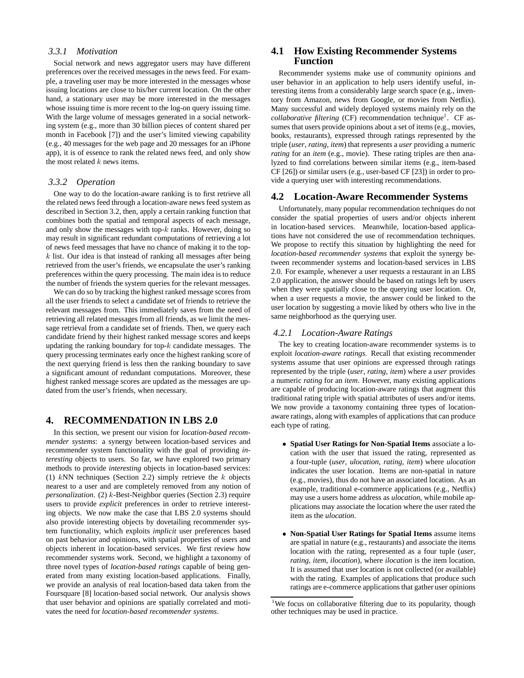## *3.3.1 Motivation*

Social network and news aggregator users may have different preferences over the received messages in the news feed. For example, a traveling user may be more interested in the messages whose issuing locations are close to his/her current location. On the other hand, a stationary user may be more interested in the messages whose issuing time is more recent to the log-on query issuing time. With the large volume of messages generated in a social networking system (e.g., more than 30 billion pieces of content shared per month in Facebook [7]) and the user's limited viewing capability (e.g., 40 messages for the web page and 20 messages for an iPhone app), it is of essence to rank the related news feed, and only show the most related  $k$  news items.

#### *3.3.2 Operation*

One way to do the location-aware ranking is to first retrieve all the related news feed through a location-aware news feed system as described in Section 3.2, then, apply a certain ranking function that combines both the spatial and temporal aspects of each message, and only show the messages with top- $k$  ranks. However, doing so may result in significant redundant computations of retrieving a lot of news feed messages that have no chance of making it to the top $k$  list. Our idea is that instead of ranking all messages after being retrieved from the user's friends, we encapsulate the user's ranking preferences within the query processing. The main idea is to reduce the number of friends the system queries for the relevant messages.

We can do so by tracking the highest ranked message scores from all the user friends to select a candidate set of friends to retrieve the relevant messages from. This immediately saves from the need of retrieving all related messages from all friends, as we limit the message retrieval from a candidate set of friends. Then, we query each candidate friend by their highest ranked message scores and keeps updating the ranking boundary for top- $k$  candidate messages. The query processing terminates early once the highest ranking score of the next querying friend is less then the ranking boundary to save a significant amount of redundant computations. Moreover, these highest ranked message scores are updated as the messages are updated from the user's friends, when necessary.

#### **4. RECOMMENDATION IN LBS 2.0**

In this section, we present our vision for *location-based recommender systems*: a synergy between location-based services and recommender system functionality with the goal of providing *interesting* objects to users. So far, we have explored two primary methods to provide *interesting* objects in location-based services: (1)  $kNN$  techniques (Section 2.2) simply retrieve the k objects nearest to a user and are completely removed from any notion of *personalization*. (2) k-Best-Neighbor queries (Section 2.3) require users to provide *explicit* preferences in order to retrieve interesting objects. We now make the case that LBS 2.0 systems should also provide interesting objects by dovetailing recommender system functionality, which exploits *implicit* user preferences based on past behavior and opinions, with spatial properties of users and objects inherent in location-based services. We first review how recommender systems work. Second, we highlight a taxonomy of three novel types of *location-based ratings* capable of being generated from many existing location-based applications. Finally, we provide an analysis of real location-based data taken from the Foursquare [8] location-based social network. Our analysis shows that user behavior and opinions are spatially correlated and motivates the need for *location-based recommender systems*.

## **4.1 How Existing Recommender Systems Function**

Recommender systems make use of community opinions and user behavior in an application to help users identify useful, interesting items from a considerably large search space (e.g., inventory from Amazon, news from Google, or movies from Netflix). Many successful and widely deployed systems mainly rely on the collaborative filtering (CF) recommendation technique<sup>1</sup>. CF assumes that users provide opinions about a set of items (e.g., movies, books, restaurants), expressed through ratings represented by the triple (*user*, *rating*, *item*) that represents a *user* providing a numeric *rating* for an *item* (e.g., movie). These rating triples are then analyzed to find correlations between similar items (e.g., item-based CF [26]) or similar users (e.g., user-based CF [23]) in order to provide a querying user with interesting recommendations.

## **4.2 Location-Aware Recommender Systems**

Unfortunately, many popular recommendation techniques do not consider the spatial properties of users and/or objects inherent in location-based services. Meanwhile, location-based applications have not considered the use of recommendation techniques. We propose to rectify this situation by highlighting the need for *location-based recommender systems* that exploit the synergy between recommender systems and location-based services in LBS 2.0. For example, whenever a user requests a restaurant in an LBS 2.0 application, the answer should be based on ratings left by users when they were spatially close to the querying user location. Or, when a user requests a movie, the answer could be linked to the user location by suggesting a movie liked by others who live in the same neighborhood as the querying user.

#### *4.2.1 Location-Aware Ratings*

The key to creating location-aware recommender systems is to exploit *location-aware ratings*. Recall that existing recommender systems assume that user opinions are expressed through ratings represented by the triple (*user*, *rating*, *item*) where a *user* provides a numeric *rating* for an *item*. However, many existing applications are capable of producing location-aware ratings that augment this traditional rating triple with spatial attributes of users and/or items. We now provide a taxonomy containing three types of locationaware ratings, along with examples of applications that can produce each type of rating.

- **Spatial User Ratings for Non-Spatial Items** associate a location with the user that issued the rating, represented as a four-tuple (*user*, *ulocation*, *rating*, *item*) where *ulocation* indicates the user location. Items are non-spatial in nature (e.g., movies), thus do not have an associated location. As an example, traditional e-commerce applications (e.g., Netflix) may use a users home address as *ulocation*, while mobile applications may associate the location where the user rated the item as the *ulocation*.
- **Non-Spatial User Ratings for Spatial Items** assume items are spatial in nature (e.g., restaurants) and associate the items location with the rating, represented as a four tuple (*user*, *rating*, *item*, *ilocation*), where *ilocation* is the item location. It is assumed that user location is not collected (or available) with the rating. Examples of applications that produce such ratings are e-commerce applications that gather user opinions

<sup>&</sup>lt;sup>1</sup>We focus on collaborative filtering due to its popularity, though other techniques may be used in practice.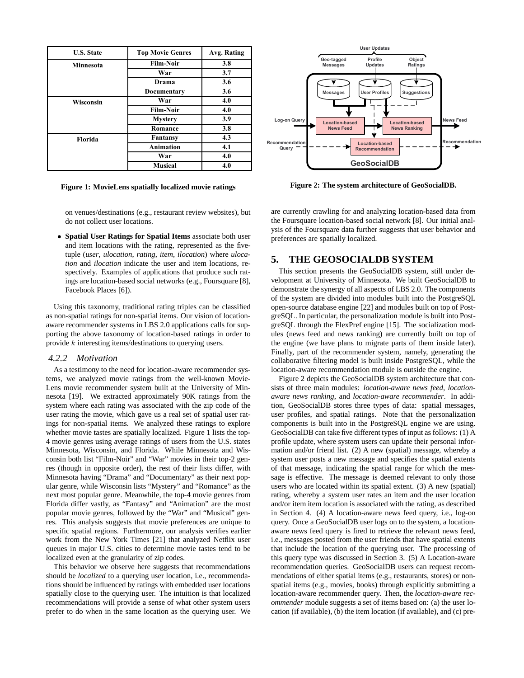| <b>U.S. State</b> | <b>Top Movie Genres</b> | Avg. Rating |
|-------------------|-------------------------|-------------|
| <b>Minnesota</b>  | <b>Film-Noir</b>        | 3.8         |
|                   | War                     | 3.7         |
|                   | Drama                   | 3.6         |
|                   | <b>Documentary</b>      | 3.6         |
| <b>Wisconsin</b>  | War                     | 4.0         |
|                   | <b>Film-Noir</b>        | 4.0         |
|                   | <b>Mystery</b>          | 3.9         |
|                   | Romance                 | 3.8         |
| Florida           | <b>Fantansy</b>         | 4.3         |
|                   | <b>Animation</b>        | 4.1         |
|                   | War                     | 4.0         |
|                   | <b>Musical</b>          | 4.0         |

**Figure 1: MovieLens spatially localized movie ratings**



**Figure 2: The system architecture of GeoSocialDB.**

on venues/destinations (e.g., restaurant review websites), but do not collect user locations.

• **Spatial User Ratings for Spatial Items** associate both user and item locations with the rating, represented as the fivetuple (*user*, *ulocation*, *rating*, *item*, *ilocation*) where *ulocation* and *ilocation* indicate the user and item locations, respectively. Examples of applications that produce such ratings are location-based social networks (e.g., Foursquare [8], Facebook Places [6]).

Using this taxonomy, traditional rating triples can be classified as non-spatial ratings for non-spatial items. Our vision of locationaware recommender systems in LBS 2.0 applications calls for supporting the above taxonomy of location-based ratings in order to provide k interesting items/destinations to querying users.

#### *4.2.2 Motivation*

As a testimony to the need for location-aware recommender systems, we analyzed movie ratings from the well-known Movie-Lens movie recommender system built at the University of Minnesota [19]. We extracted approximately 90K ratings from the system where each rating was associated with the zip code of the user rating the movie, which gave us a real set of spatial user ratings for non-spatial items. We analyzed these ratings to explore whether movie tastes are spatially localized. Figure 1 lists the top-4 movie genres using average ratings of users from the U.S. states Minnesota, Wisconsin, and Florida. While Minnesota and Wisconsin both list "Film-Noir" and "War" movies in their top-2 genres (though in opposite order), the rest of their lists differ, with Minnesota having "Drama" and "Documentary" as their next popular genre, while Wisconsin lists "Mystery" and "Romance" as the next most popular genre. Meanwhile, the top-4 movie genres from Florida differ vastly, as "Fantasy" and "Animation" are the most popular movie genres, followed by the "War" and "Musical" genres. This analysis suggests that movie preferences are unique to specific spatial regions. Furthermore, our analysis verifies earlier work from the New York Times [21] that analyzed Netflix user queues in major U.S. cities to determine movie tastes tend to be localized even at the granularity of zip codes.

This behavior we observe here suggests that recommendations should be *localized* to a querying user location, i.e., recommendations should be influenced by ratings with embedded user locations spatially close to the querying user. The intuition is that localized recommendations will provide a sense of what other system users prefer to do when in the same location as the querying user. We

are currently crawling for and analyzing location-based data from the Foursquare location-based social network [8]. Our initial analysis of the Foursquare data further suggests that user behavior and preferences are spatially localized.

## **5. THE GEOSOCIALDB SYSTEM**

This section presents the GeoSocialDB system, still under development at University of Minnesota. We built GeoSocialDB to demonstrate the synergy of all aspects of LBS 2.0. The components of the system are divided into modules built into the PostgreSQL open-source database engine [22] and modules built on top of PostgreSQL. In particular, the personalization module is built into PostgreSQL through the FlexPref engine [15]. The socialization modules (news feed and news ranking) are currently built on top of the engine (we have plans to migrate parts of them inside later). Finally, part of the recommender system, namely, generating the collaborative filtering model is built inside PostgreSQL, while the location-aware recommendation module is outside the engine.

Figure 2 depicts the GeoSocialDB system architecture that consists of three main modules: *location-aware news feed*, *locationaware news ranking*, and *location-aware recommender*. In addition, GeoSocialDB stores three types of data: spatial messages, user profiles, and spatial ratings. Note that the personalization components is built into in the PostgreSQL engine we are using. GeoSocialDB can take five different types of input as follows: (1) A profile update, where system users can update their personal information and/or friend list. (2) A new (spatial) message, whereby a system user posts a new message and specifies the spatial extents of that message, indicating the spatial range for which the message is effective. The message is deemed relevant to only those users who are located within its spatial extent. (3) A new (spatial) rating, whereby a system user rates an item and the user location and/or item item location is associated with the rating, as described in Section 4. (4) A location-aware news feed query, i.e., log-on query. Once a GeoSocialDB user logs on to the system, a locationaware news feed query is fired to retrieve the relevant news feed, i.e., messages posted from the user friends that have spatial extents that include the location of the querying user. The processing of this query type was discussed in Section 3. (5) A Location-aware recommendation queries. GeoSocialDB users can request recommendations of either spatial items (e.g., restaurants, stores) or nonspatial items (e.g., movies, books) through explicitly submitting a location-aware recommender query. Then, the *location-aware recommender* module suggests a set of items based on: (a) the user location (if available), (b) the item location (if available), and (c) pre-